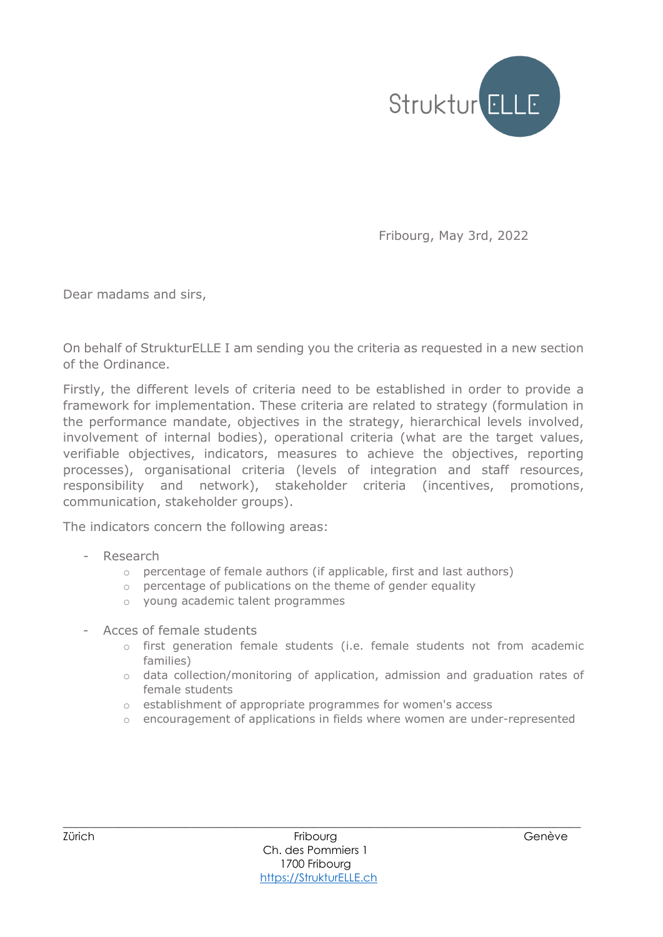

Fribourg, May 3rd, 2022

Dear madams and sirs,

On behalf of StrukturELLE I am sending you the criteria as requested in a new section of the Ordinance.

Firstly, the different levels of criteria need to be established in order to provide a framework for implementation. These criteria are related to strategy (formulation in the performance mandate, objectives in the strategy, hierarchical levels involved, involvement of internal bodies), operational criteria (what are the target values, verifiable objectives, indicators, measures to achieve the objectives, reporting processes), organisational criteria (levels of integration and staff resources, responsibility and network), stakeholder criteria (incentives, promotions, communication, stakeholder groups).

The indicators concern the following areas:

- Research
	- $\circ$  percentage of female authors (if applicable, first and last authors)
	- o percentage of publications on the theme of gender equality
	- o young academic talent programmes
- Acces of female students
	- $\circ$  first generation female students (i.e. female students not from academic families)
	- o data collection/monitoring of application, admission and graduation rates of female students
	- o establishment of appropriate programmes for women's access
	- o encouragement of applications in fields where women are under-represented

\_\_\_\_\_\_\_\_\_\_\_\_\_\_\_\_\_\_\_\_\_\_\_\_\_\_\_\_\_\_\_\_\_\_\_\_\_\_\_\_\_\_\_\_\_\_\_\_\_\_\_\_\_\_\_\_\_\_\_\_\_\_\_\_\_\_\_\_\_\_\_\_\_\_\_\_\_\_\_\_\_\_\_\_\_\_\_\_\_\_\_\_\_